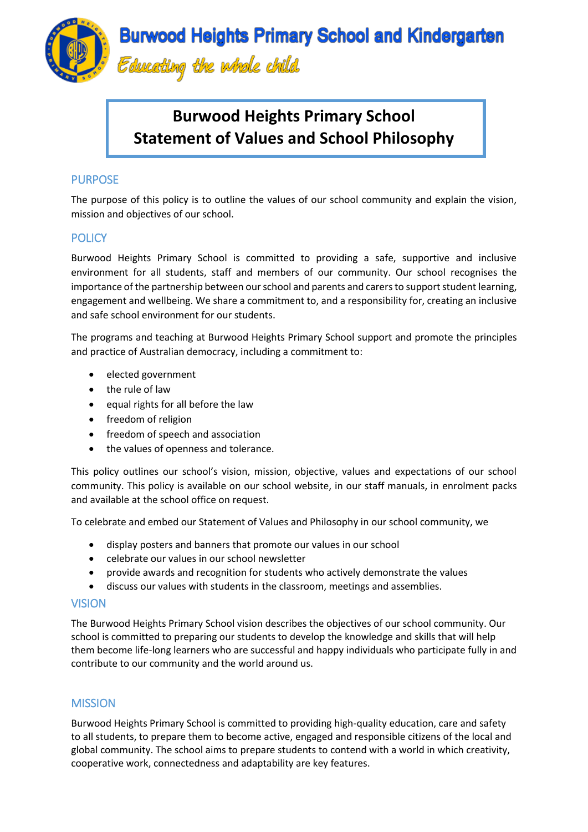

# **Burwood Heights Primary School Statement of Values and School Philosophy**

# PURPOSE

The purpose of this policy is to outline the values of our school community and explain the vision, mission and objectives of our school.

# **POLICY**

Burwood Heights Primary School is committed to providing a safe, supportive and inclusive environment for all students, staff and members of our community. Our school recognises the importance of the partnership between our school and parents and carers to support student learning, engagement and wellbeing. We share a commitment to, and a responsibility for, creating an inclusive and safe school environment for our students.

The programs and teaching at Burwood Heights Primary School support and promote the principles and practice of Australian democracy, including a commitment to:

- elected government
- the rule of law
- equal rights for all before the law
- freedom of religion
- freedom of speech and association
- the values of openness and tolerance.

This policy outlines our school's vision, mission, objective, values and expectations of our school community. This policy is available on our school website, in our staff manuals, in enrolment packs and available at the school office on request.

To celebrate and embed our Statement of Values and Philosophy in our school community, we

- display posters and banners that promote our values in our school
- celebrate our values in our school newsletter
- provide awards and recognition for students who actively demonstrate the values
- discuss our values with students in the classroom, meetings and assemblies.

### **VISION**

The Burwood Heights Primary School vision describes the objectives of our school community. Our school is committed to preparing our students to develop the knowledge and skills that will help them become life-long learners who are successful and happy individuals who participate fully in and contribute to our community and the world around us.

# **MISSION**

Burwood Heights Primary School is committed to providing high-quality education, care and safety to all students, to prepare them to become active, engaged and responsible citizens of the local and global community. The school aims to prepare students to contend with a world in which creativity, cooperative work, connectedness and adaptability are key features.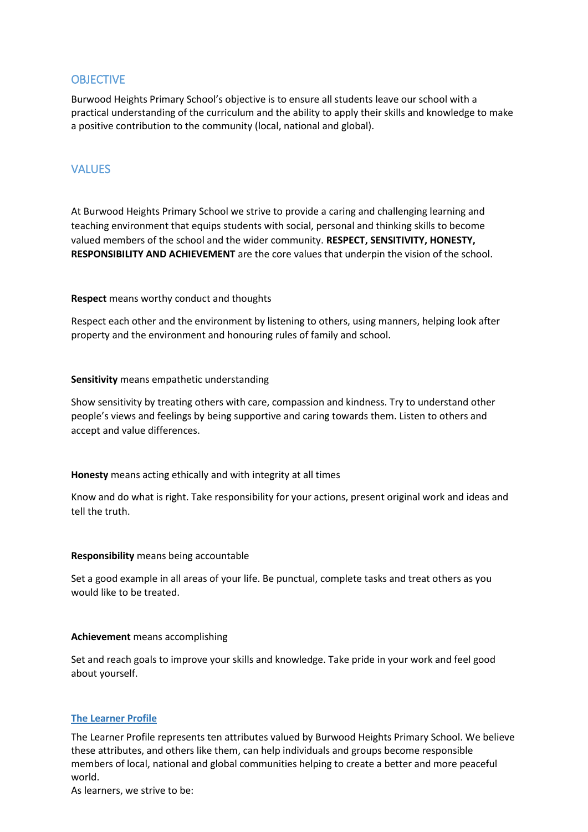### **OBJECTIVE**

Burwood Heights Primary School's objective is to ensure all students leave our school with a practical understanding of the curriculum and the ability to apply their skills and knowledge to make a positive contribution to the community (local, national and global).

# VALUES

At Burwood Heights Primary School we strive to provide a caring and challenging learning and teaching environment that equips students with social, personal and thinking skills to become valued members of the school and the wider community. **RESPECT, SENSITIVITY, HONESTY, RESPONSIBILITY AND ACHIEVEMENT** are the core values that underpin the vision of the school.

**Respect** means worthy conduct and thoughts

Respect each other and the environment by listening to others, using manners, helping look after property and the environment and honouring rules of family and school.

#### **Sensitivity** means empathetic understanding

Show sensitivity by treating others with care, compassion and kindness. Try to understand other people's views and feelings by being supportive and caring towards them. Listen to others and accept and value differences.

#### **Honesty** means acting ethically and with integrity at all times

Know and do what is right. Take responsibility for your actions, present original work and ideas and tell the truth.

#### **Responsibility** means being accountable

Set a good example in all areas of your life. Be punctual, complete tasks and treat others as you would like to be treated.

#### **Achievement** means accomplishing

Set and reach goals to improve your skills and knowledge. Take pride in your work and feel good about yourself.

#### **The Learner Profile**

The Learner Profile represents ten attributes valued by Burwood Heights Primary School. We believe these attributes, and others like them, can help individuals and groups become responsible members of local, national and global communities helping to create a better and more peaceful world.

As learners, we strive to be: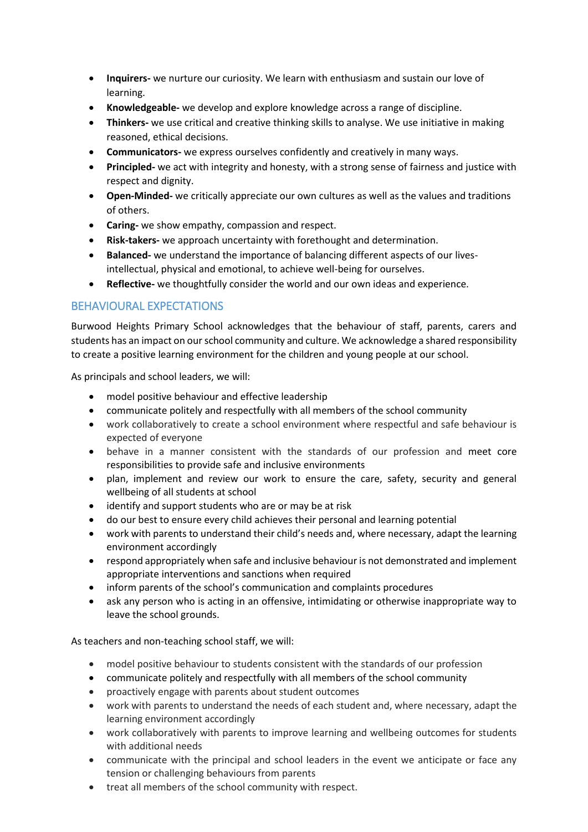- **Inquirers-** we nurture our curiosity. We learn with enthusiasm and sustain our love of learning.
- **Knowledgeable-** we develop and explore knowledge across a range of discipline.
- **Thinkers-** we use critical and creative thinking skills to analyse. We use initiative in making reasoned, ethical decisions.
- **Communicators-** we express ourselves confidently and creatively in many ways.
- **Principled-** we act with integrity and honesty, with a strong sense of fairness and justice with respect and dignity.
- **Open-Minded-** we critically appreciate our own cultures as well as the values and traditions of others.
- **Caring-** we show empathy, compassion and respect.
- **Risk-takers-** we approach uncertainty with forethought and determination.
- **Balanced-** we understand the importance of balancing different aspects of our livesintellectual, physical and emotional, to achieve well-being for ourselves.
- **Reflective-** we thoughtfully consider the world and our own ideas and experience.

# BEHAVIOURAL EXPECTATIONS

Burwood Heights Primary School acknowledges that the behaviour of staff, parents, carers and students has an impact on our school community and culture. We acknowledge a shared responsibility to create a positive learning environment for the children and young people at our school.

As principals and school leaders, we will:

- model positive behaviour and effective leadership
- communicate politely and respectfully with all members of the school community
- work collaboratively to create a school environment where respectful and safe behaviour is expected of everyone
- behave in a manner consistent with the standards of our profession and meet core responsibilities to provide safe and inclusive environments
- plan, implement and review our work to ensure the care, safety, security and general wellbeing of all students at school
- identify and support students who are or may be at risk
- do our best to ensure every child achieves their personal and learning potential
- work with parents to understand their child's needs and, where necessary, adapt the learning environment accordingly
- respond appropriately when safe and inclusive behaviour is not demonstrated and implement appropriate interventions and sanctions when required
- inform parents of the school's communication and complaints procedures
- ask any person who is acting in an offensive, intimidating or otherwise inappropriate way to leave the school grounds.

As teachers and non-teaching school staff, we will:

- model positive behaviour to students consistent with the standards of our profession
- communicate politely and respectfully with all members of the school community
- proactively engage with parents about student outcomes
- work with parents to understand the needs of each student and, where necessary, adapt the learning environment accordingly
- work collaboratively with parents to improve learning and wellbeing outcomes for students with additional needs
- communicate with the principal and school leaders in the event we anticipate or face any tension or challenging behaviours from parents
- treat all members of the school community with respect.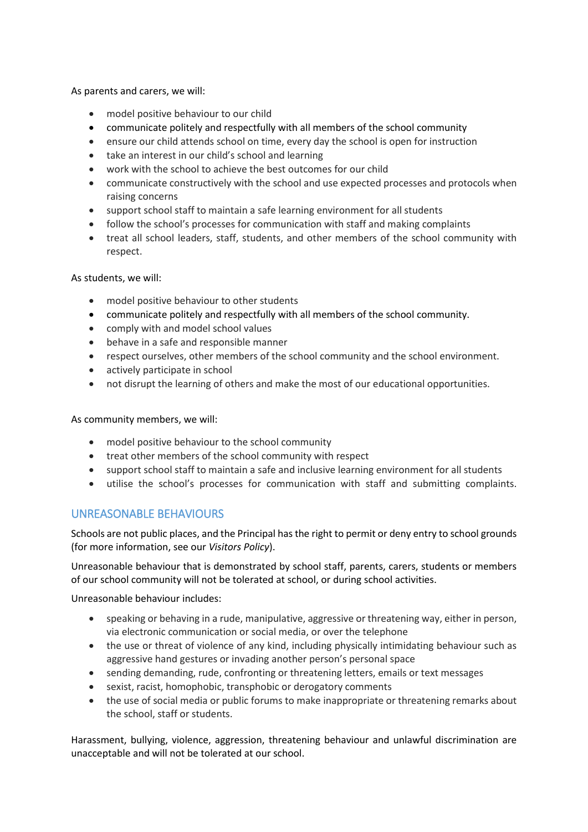As parents and carers, we will:

- model positive behaviour to our child
- communicate politely and respectfully with all members of the school community
- ensure our child attends school on time, every day the school is open for instruction
- take an interest in our child's school and learning
- work with the school to achieve the best outcomes for our child
- communicate constructively with the school and use expected processes and protocols when raising concerns
- support school staff to maintain a safe learning environment for all students
- follow the school's processes for communication with staff and making complaints
- treat all school leaders, staff, students, and other members of the school community with respect.

As students, we will:

- model positive behaviour to other students
- communicate politely and respectfully with all members of the school community.
- comply with and model school values
- behave in a safe and responsible manner
- respect ourselves, other members of the school community and the school environment.
- actively participate in school
- not disrupt the learning of others and make the most of our educational opportunities.

As community members, we will:

- model positive behaviour to the school community
- treat other members of the school community with respect
- support school staff to maintain a safe and inclusive learning environment for all students
- utilise the school's processes for communication with staff and submitting complaints.

# UNREASONABLE BEHAVIOURS

Schools are not public places, and the Principal has the right to permit or deny entry to school grounds (for more information, see our *Visitors Policy*).

Unreasonable behaviour that is demonstrated by school staff, parents, carers, students or members of our school community will not be tolerated at school, or during school activities.

Unreasonable behaviour includes:

- speaking or behaving in a rude, manipulative, aggressive or threatening way, either in person, via electronic communication or social media, or over the telephone
- the use or threat of violence of any kind, including physically intimidating behaviour such as aggressive hand gestures or invading another person's personal space
- sending demanding, rude, confronting or threatening letters, emails or text messages
- sexist, racist, homophobic, transphobic or derogatory comments
- the use of social media or public forums to make inappropriate or threatening remarks about the school, staff or students.

Harassment, bullying, violence, aggression, threatening behaviour and unlawful discrimination are unacceptable and will not be tolerated at our school.